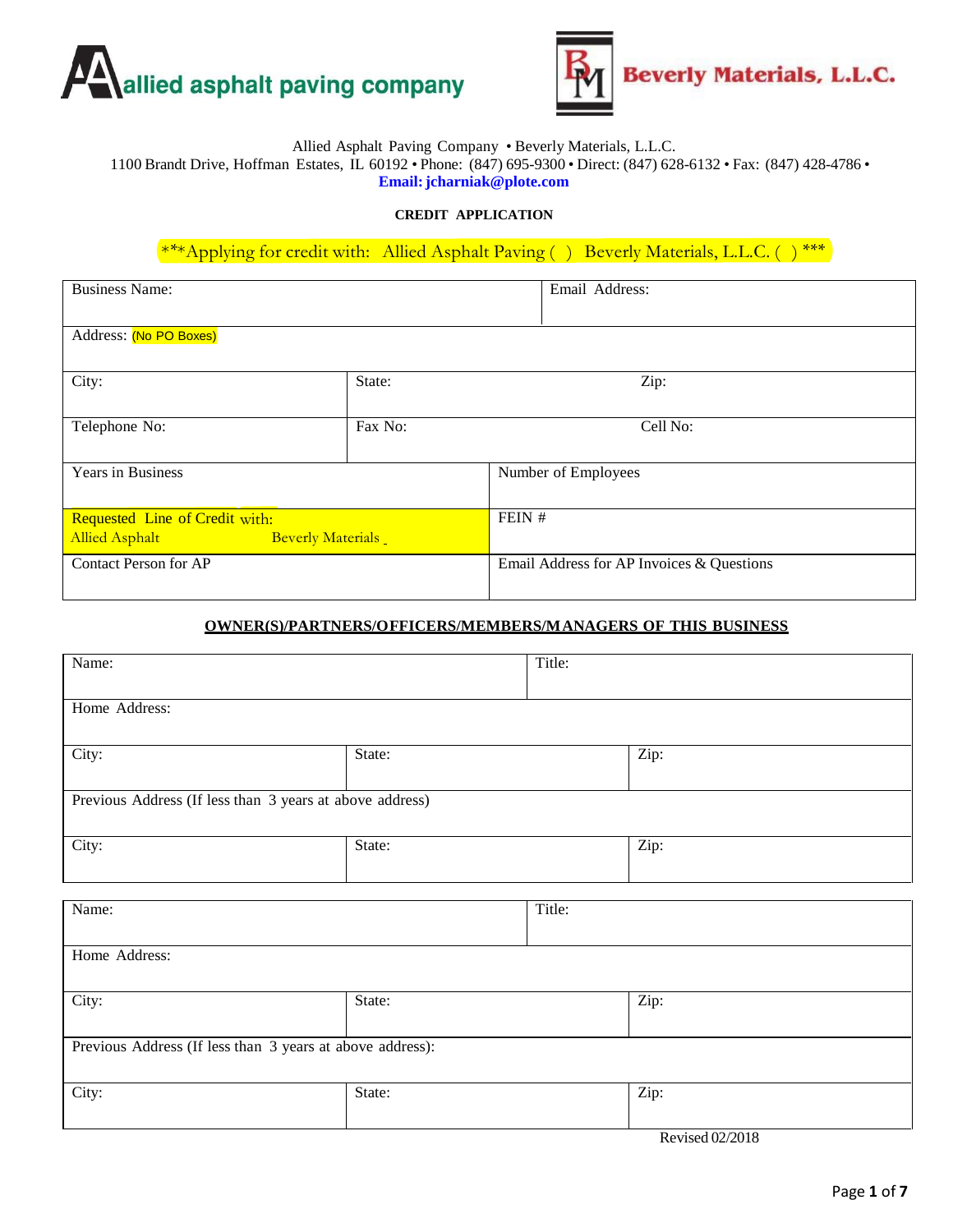



### Allied Asphalt Paving Company • Beverly Materials, L.L.C.

1100 Brandt Drive, Hoffman Estates, IL 60192 • Phone: (847) 695-9300 • Direct: (847) 628-6132 • Fax: (847) 428-4786 • **Email[:jcharniak@plote.com](mailto:jcharniak@plote.com)**

#### **CREDIT APPLICATION**

\*\*\*Applying for credit with: Allied Asphalt Paving () Beverly Materials, L.L.C. () \*\*\*

| <b>Business Name:</b>                                                                                         |         | Email Address:                            |  |
|---------------------------------------------------------------------------------------------------------------|---------|-------------------------------------------|--|
| Address: (No PO Boxes)                                                                                        |         |                                           |  |
| City:                                                                                                         | State:  | Zip:                                      |  |
| Telephone No:                                                                                                 | Fax No: | Cell No:                                  |  |
| Years in Business                                                                                             |         | Number of Employees                       |  |
| Requested Line of Credit with:<br><b>Allied Asphalt</b><br><b>Beverly Materials</b><br><u> Tanzania da Ba</u> |         | FEIN #                                    |  |
| <b>Contact Person for AP</b>                                                                                  |         | Email Address for AP Invoices & Questions |  |

#### **OWNER(S)/PARTNERS/OFFICERS/MEMBERS/MANAGERS OF THIS BUSINESS**

| Title: |  |
|--------|--|
|        |  |
|        |  |
|        |  |
|        |  |
|        |  |

Revised 02/2018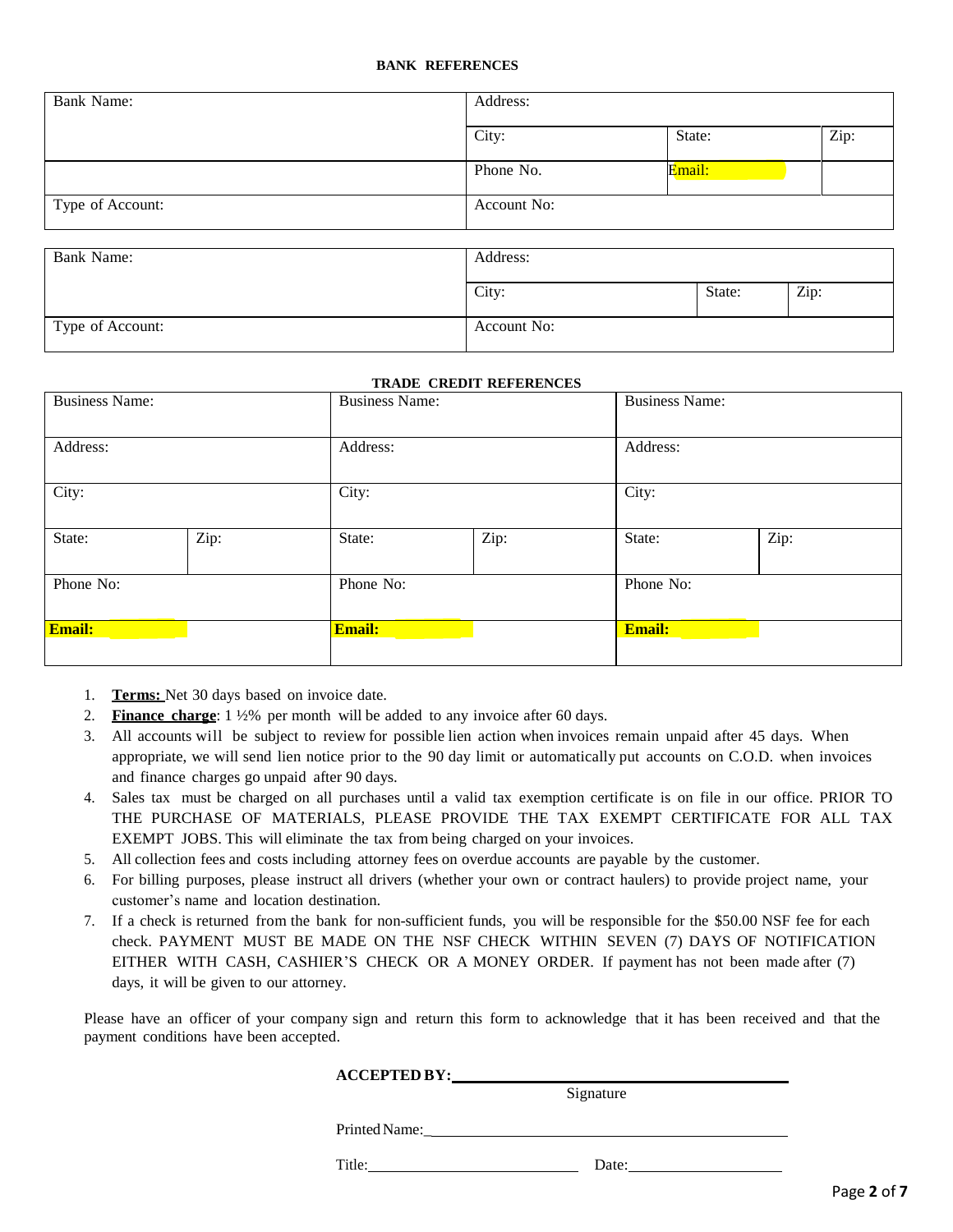#### **BANK REFERENCES**

| <b>Bank Name:</b> | Address:    |        |      |  |
|-------------------|-------------|--------|------|--|
|                   | City:       | State: | Zip: |  |
|                   | Phone No.   | Email: |      |  |
| Type of Account:  | Account No: |        |      |  |
| <b>Bank Name:</b> | Address:    |        |      |  |
|                   | City:       | State: | Zip: |  |
| Type of Account:  | Account No: |        |      |  |

#### **TRADE CREDIT REFERENCES**

| <b>Business Name:</b> |      | <b>Business Name:</b> |      | <b>Business Name:</b> |      |
|-----------------------|------|-----------------------|------|-----------------------|------|
| Address:              |      | Address:              |      | Address:              |      |
| City:                 |      | City:                 |      | City:                 |      |
| State:                | Zip: | State:                | Zip: | State:                | Zip: |
| Phone No:             |      | Phone No:             |      | Phone No:             |      |
| <b>Email:</b>         |      | Email:                |      | <b>Email:</b>         |      |

- 1. **Terms:** Net 30 days based on invoice date.
- 2. **Finance charge**: 1 ½% per month will be added to any invoice after 60 days.
- 3. All accounts will be subject to review for possible lien action when invoices remain unpaid after 45 days. When appropriate, we will send lien notice prior to the 90 day limit or automatically put accounts on C.O.D. when invoices and finance charges go unpaid after 90 days.
- 4. Sales tax must be charged on all purchases until a valid tax exemption certificate is on file in our office. PRIOR TO THE PURCHASE OF MATERIALS, PLEASE PROVIDE THE TAX EXEMPT CERTIFICATE FOR ALL TAX EXEMPT JOBS. This will eliminate the tax from being charged on your invoices.
- 5. All collection fees and costs including attorney fees on overdue accounts are payable by the customer.
- 6. For billing purposes, please instruct all drivers (whether your own or contract haulers) to provide project name, your customer's name and location destination.
- 7. If a check is returned from the bank for non-sufficient funds, you will be responsible for the \$50.00 NSF fee for each check. PAYMENT MUST BE MADE ON THE NSF CHECK WITHIN SEVEN (7) DAYS OF NOTIFICATION EITHER WITH CASH, CASHIER'S CHECK OR A MONEY ORDER. If payment has not been made after (7) days, it will be given to our attorney.

Please have an officer of your company sign and return this form to acknowledge that it has been received and that the payment conditions have been accepted.

| <b>ACCEPTED BY:</b> |  |
|---------------------|--|
|                     |  |

Signature

Printed Name:

Title: Date:

Page **2** of **7**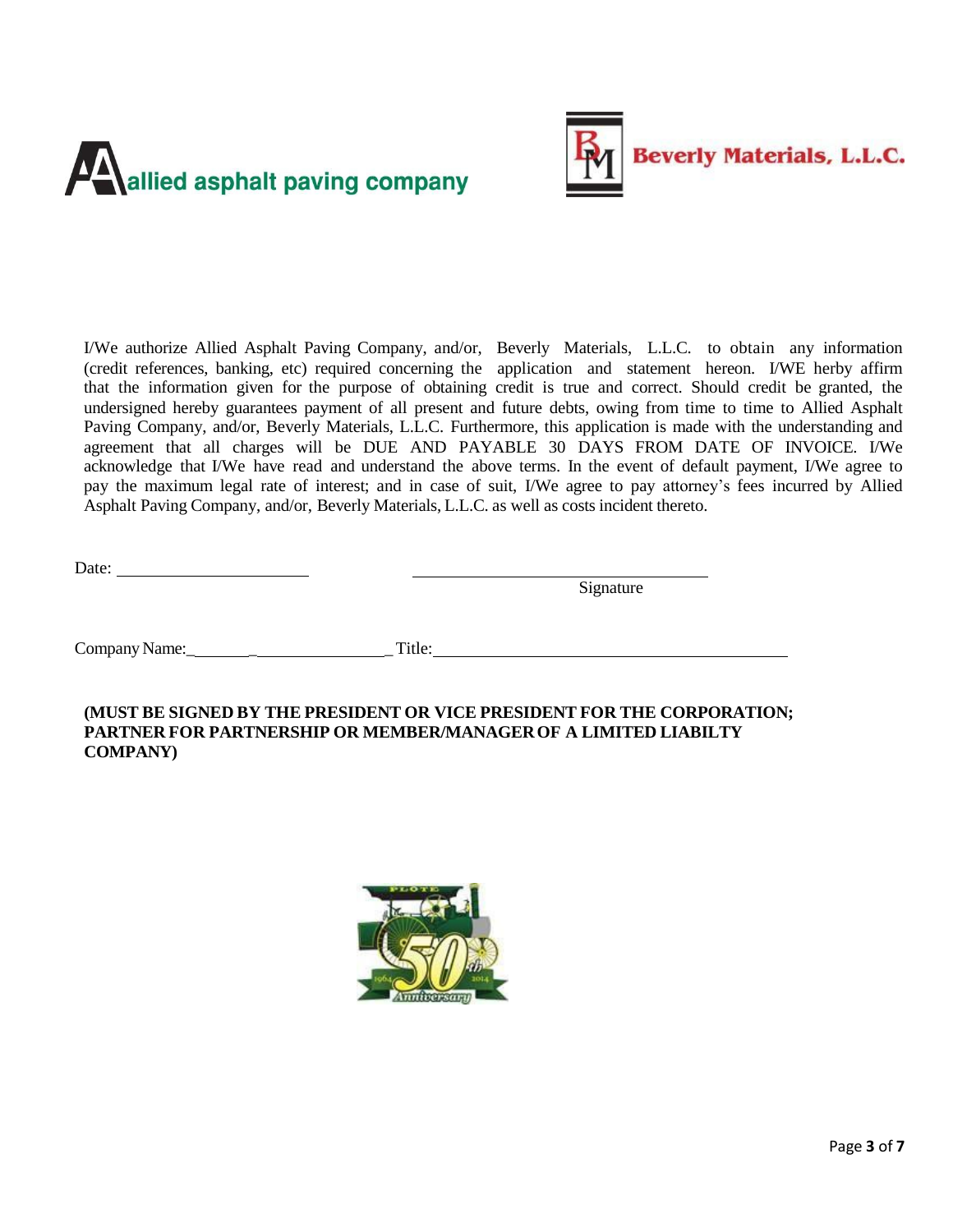



I/We authorize Allied Asphalt Paving Company, and/or, Beverly Materials, L.L.C. to obtain any information (credit references, banking, etc) required concerning the application and statement hereon. I/WE herby affirm that the information given for the purpose of obtaining credit is true and correct. Should credit be granted, the undersigned hereby guarantees payment of all present and future debts, owing from time to time to Allied Asphalt Paving Company, and/or, Beverly Materials, L.L.C. Furthermore, this application is made with the understanding and agreement that all charges will be DUE AND PAYABLE 30 DAYS FROM DATE OF INVOICE. I/We acknowledge that I/We have read and understand the above terms. In the event of default payment, I/We agree to pay the maximum legal rate of interest; and in case of suit, I/We agree to pay attorney's fees incurred by Allied Asphalt Paving Company, and/or, Beverly Materials, L.L.C. as well as costs incident thereto.

Date:

Signature

Company Name: Title:

**(MUST BE SIGNED BY THE PRESIDENT OR VICE PRESIDENT FOR THE CORPORATION; PARTNER FOR PARTNERSHIP OR MEMBER/MANAGEROF A LIMITED LIABILTY COMPANY)**

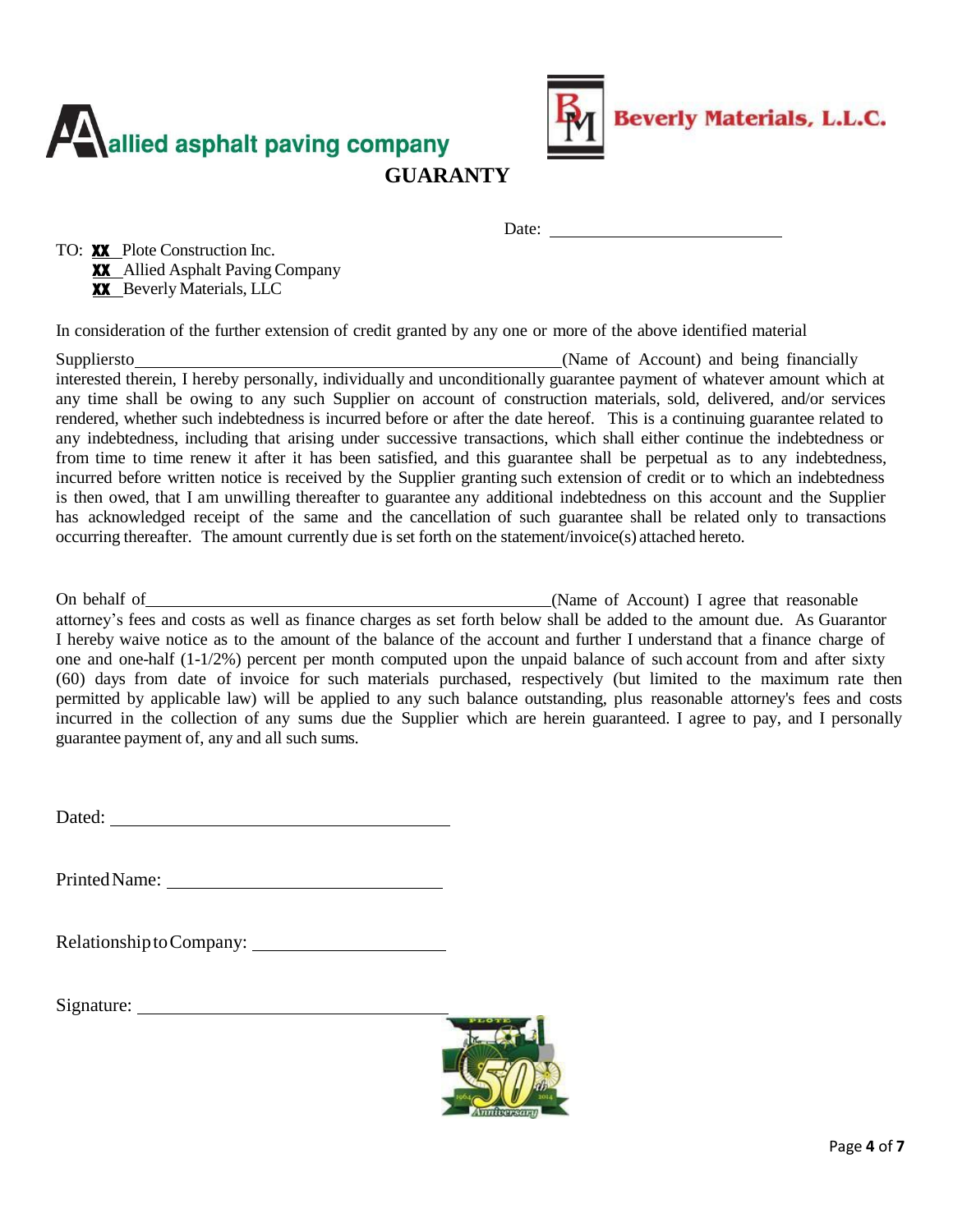



Date:

TO: **XX** Plote Construction Inc. **XX** Allied Asphalt Paving Company **XX** Beverly Materials, LLC

In consideration of the further extension of credit granted by any one or more of the above identified material

Suppliersto (Name of Account) and being financially interested therein, I hereby personally, individually and unconditionally guarantee payment of whatever amount which at any time shall be owing to any such Supplier on account of construction materials, sold, delivered, and/or services rendered, whether such indebtedness is incurred before or after the date hereof. This is a continuing guarantee related to any indebtedness, including that arising under successive transactions, which shall either continue the indebtedness or from time to time renew it after it has been satisfied, and this guarantee shall be perpetual as to any indebtedness, incurred before written notice is received by the Supplier granting such extension of credit or to which an indebtedness is then owed, that I am unwilling thereafter to guarantee any additional indebtedness on this account and the Supplier has acknowledged receipt of the same and the cancellation of such guarantee shall be related only to transactions occurring thereafter. The amount currently due is set forth on the statement/invoice(s) attached hereto.

On behalf of (Name of Account) I agree that reasonable attorney's fees and costs as well as finance charges as set forth below shall be added to the amount due. As Guarantor I hereby waive notice as to the amount of the balance of the account and further I understand that a finance charge of one and one-half (1-1/2%) percent per month computed upon the unpaid balance of such account from and after sixty (60) days from date of invoice for such materials purchased, respectively (but limited to the maximum rate then permitted by applicable law) will be applied to any such balance outstanding, plus reasonable attorney's fees and costs incurred in the collection of any sums due the Supplier which are herein guaranteed. I agree to pay, and I personally guarantee payment of, any and all such sums.

Dated: **Dated: Dated: Dated: Date of**  $\mathbb{R}$ 

PrintedName:

Relationship to Company:

Signature:

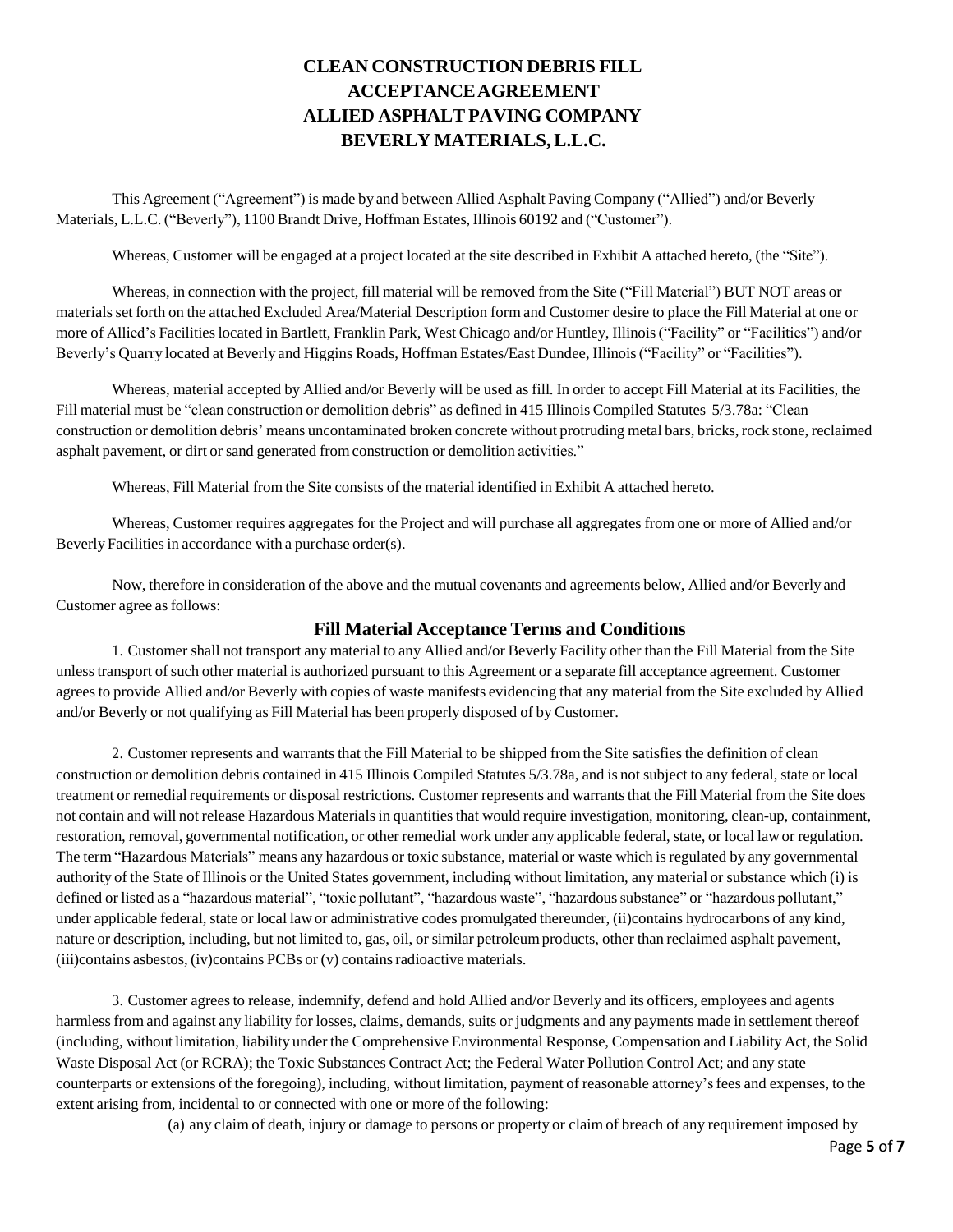# **CLEAN CONSTRUCTION DEBRIS FILL ACCEPTANCEAGREEMENT ALLIED ASPHALT PAVING COMPANY BEVERLY MATERIALS,L.L.C.**

This Agreement ("Agreement") is made by and between Allied Asphalt Paving Company ("Allied") and/or Beverly Materials, L.L.C. ("Beverly"), 1100 Brandt Drive, Hoffman Estates, Illinois 60192 and ("Customer").

Whereas, Customer will be engaged at a project located at the site described in Exhibit A attached hereto, (the "Site").

Whereas, in connection with the project, fill material will be removed from the Site ("Fill Material") BUT NOT areas or materialsset forth on the attached Excluded Area/Material Description form and Customer desire to place the Fill Material at one or more of Allied's Facilities located in Bartlett, Franklin Park, West Chicago and/or Huntley, Illinois ("Facility" or "Facilities") and/or Beverly's Quarry located at Beverly and Higgins Roads, Hoffman Estates/East Dundee, Illinois("Facility" or "Facilities").

Whereas, material accepted by Allied and/or Beverly will be used as fill. In order to accept Fill Material at its Facilities, the Fill material must be "clean construction or demolition debris" as defined in 415 Illinois Compiled Statutes 5/3.78a: "Clean construction or demolition debris' means uncontaminated broken concrete without protruding metal bars, bricks, rock stone, reclaimed asphalt pavement, or dirt or sand generated fromconstruction or demolition activities."

Whereas, Fill Material from the Site consists of the material identified in Exhibit A attached hereto.

Whereas, Customer requires aggregates for the Project and will purchase all aggregates from one or more of Allied and/or Beverly Facilities in accordance with a purchase order(s).

Now, therefore in consideration of the above and the mutual covenants and agreements below, Allied and/or Beverly and Customer agree as follows:

#### **Fill Material Acceptance Terms and Conditions**

1. Customer shall not transport any material to any Allied and/or Beverly Facility other than the Fill Material fromthe Site unlesstransport ofsuch other material is authorized pursuant to this Agreement or a separate fill acceptance agreement. Customer agreesto provide Allied and/or Beverly with copies of waste manifests evidencing that any material from the Site excluded by Allied and/or Beverly or not qualifying as Fill Material has been properly disposed of by Customer.

2. Customer represents and warrants that the Fill Material to be shipped from the Site satisfies the definition of clean construction or demolition debris contained in 415 Illinois Compiled Statutes 5/3.78a, and is not subject to any federal, state or local treatment or remedial requirements or disposal restrictions. Customer represents and warrantsthat the Fill Material from the Site does not contain and will not release Hazardous Materials in quantities that would require investigation, monitoring, clean-up, containment, restoration, removal, governmental notification, or other remedial work under any applicable federal, state, or local lawor regulation. The term "Hazardous Materials" means any hazardous or toxic substance, material or waste which isregulated by any governmental authority of the State of Illinois or the United States government, including without limitation, any material or substance which (i) is defined or listed as a "hazardous material", "toxic pollutant", "hazardous waste", "hazardous substance" or "hazardous pollutant," under applicable federal, state or local lawor administrative codes promulgated thereunder, (ii)contains hydrocarbons of any kind, nature or description, including, but not limited to, gas, oil, or similar petroleumproducts, other than reclaimed asphalt pavement, (iii)contains asbestos, (iv)contains PCBs or (v) containsradioactive materials.

3. Customer agreesto release, indemnify, defend and hold Allied and/or Beverly and its officers, employees and agents harmless from and against any liability for losses, claims, demands, suits or judgments and any payments made in settlement thereof (including, without limitation, liability under the Comprehensive Environmental Response, Compensation and Liability Act, the Solid Waste Disposal Act (or RCRA); the Toxic Substances Contract Act; the Federal Water Pollution Control Act; and any state counterparts or extensions of the foregoing), including, without limitation, payment of reasonable attorney'sfees and expenses, to the extent arising from, incidental to or connected with one or more of the following:

(a) any claim of death, injury or damage to persons or property or claim of breach of any requirement imposed by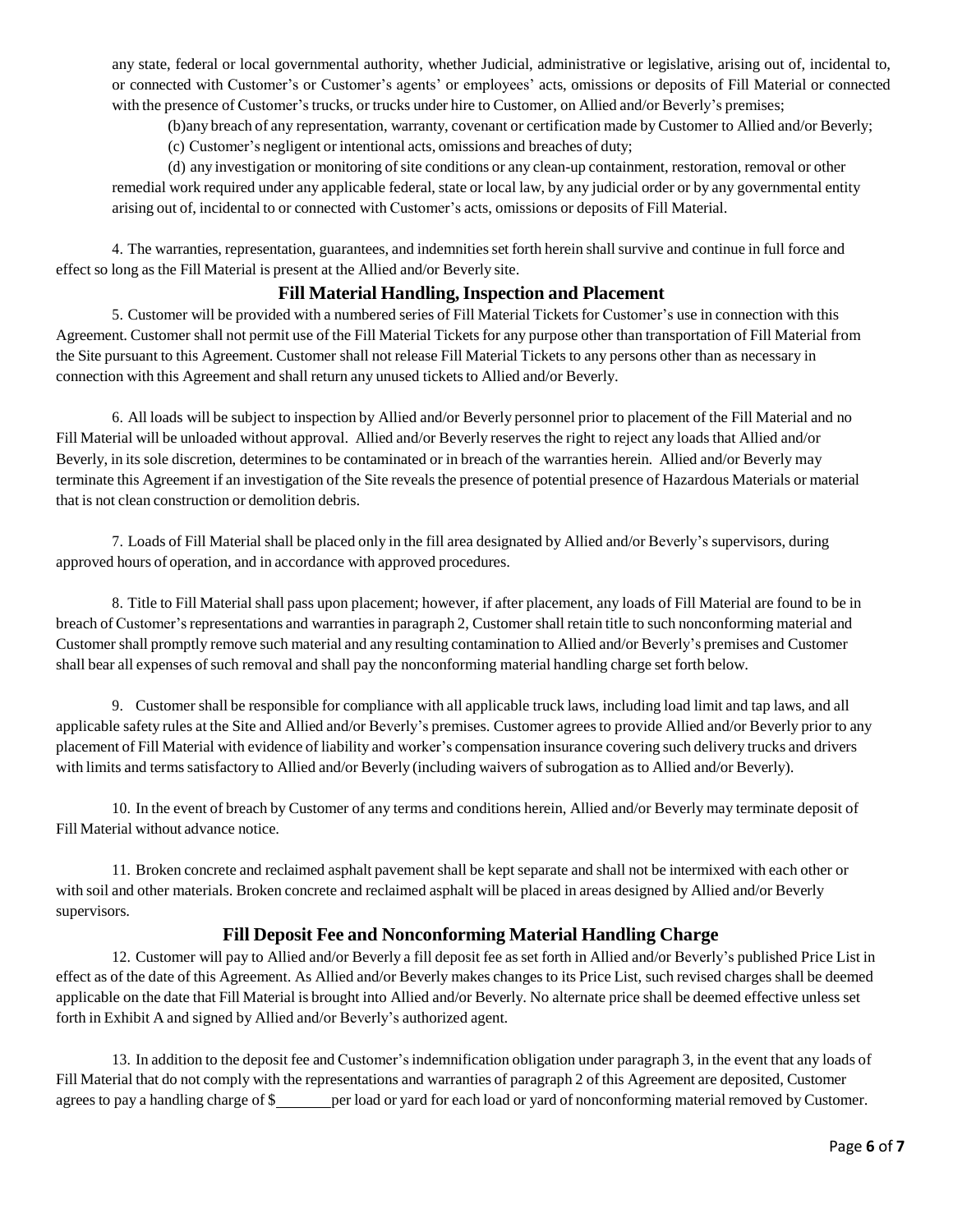any state, federal or local governmental authority, whether Judicial, administrative or legislative, arising out of, incidental to, or connected with Customer's or Customer's agents' or employees' acts, omissions or deposits of Fill Material or connected with the presence of Customer's trucks, or trucks under hire to Customer, on Allied and/or Beverly's premises;

(b)any breach of any representation, warranty, covenant or certification made byCustomer to Allied and/or Beverly;

(c) Customer's negligent or intentional acts, omissions and breaches of duty;

(d) any investigation or monitoring ofsite conditions or any clean-up containment, restoration, removal or other remedial work required under any applicable federal, state or local law, by any judicial order or by any governmental entity arising out of, incidental to or connected with Customer's acts, omissions or deposits of Fill Material.

4. The warranties, representation, guarantees, and indemnitiesset forth herein shallsurvive and continue in full force and effect so long as the Fill Material is present at the Allied and/or Beverly site.

### **Fill Material Handling,Inspection and Placement**

5. Customer will be provided with a numbered series of Fill Material Tickets for Customer's use in connection with this Agreement. Customer shall not permit use of the Fill Material Tickets for any purpose other than transportation of Fill Material from the Site pursuant to this Agreement. Customer shall not release Fill Material Tickets to any persons other than as necessary in connection with this Agreement and shall return any unused tickets to Allied and/or Beverly.

6. All loads will be subject to inspection by Allied and/or Beverly personnel prior to placement of the Fill Material and no Fill Material will be unloaded without approval. Allied and/or Beverly reserves the right to reject any loads that Allied and/or Beverly, in its sole discretion, determines to be contaminated or in breach of the warranties herein. Allied and/or Beverly may terminate this Agreement if an investigation of the Site reveals the presence of potential presence of Hazardous Materials or material that is not clean construction or demolition debris.

7. Loads of Fill Material shall be placed only in the fill area designated by Allied and/or Beverly's supervisors, during approved hours of operation, and in accordance with approved procedures.

8. Title to Fill Material shall pass upon placement; however, if after placement, any loads of Fill Material are found to be in breach of Customer's representations and warranties in paragraph 2, Customer shall retain title to such nonconforming material and Customer shall promptly remove such material and any resulting contamination to Allied and/or Beverly's premises and Customer shall bear all expenses of such removal and shall pay the nonconforming material handling charge set forth below.

9. Customer shall be responsible for compliance with all applicable truck laws, including load limit and tap laws, and all applicable safety rules at the Site and Allied and/or Beverly's premises. Customer agreesto provide Allied and/or Beverly prior to any placement of Fill Material with evidence of liability and worker's compensation insurance covering such delivery trucks and drivers with limits and terms satisfactory to Allied and/or Beverly (including waivers of subrogation as to Allied and/or Beverly).

10. In the event of breach by Customer of any terms and conditions herein, Allied and/or Beverly may terminate deposit of Fill Material without advance notice.

11. Broken concrete and reclaimed asphalt pavement shall be kept separate and shall not be intermixed with each other or with soil and other materials. Broken concrete and reclaimed asphalt will be placed in areas designed by Allied and/or Beverly supervisors.

# **Fill Deposit Fee and Nonconforming Material Handling Charge**

12. Customer will pay to Allied and/or Beverly a fill deposit fee as set forth in Allied and/or Beverly's published Price List in effect as of the date of this Agreement. As Allied and/or Beverly makes changes to its Price List, such revised charges shall be deemed applicable on the date that Fill Material is brought into Allied and/or Beverly. No alternate price shall be deemed effective unless set forth in Exhibit A and signed by Allied and/or Beverly's authorized agent.

13. In addition to the deposit fee and Customer'sindemnification obligation under paragraph 3, in the event that any loads of Fill Material that do not comply with the representations and warranties of paragraph 2 of this Agreement are deposited, Customer agrees to pay a handling charge of \$ per load or yard for each load or yard of nonconforming material removed by Customer.